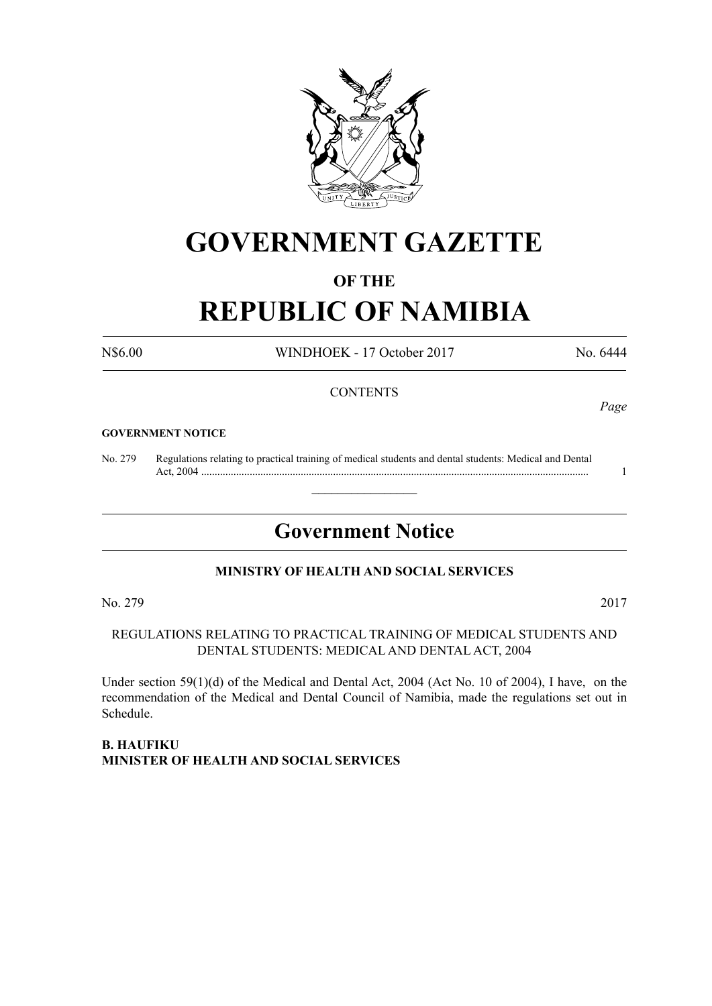

# **GOVERNMENT GAZETTE**

# **OF THE**

# **REPUBLIC OF NAMIBIA**

N\$6.00 WINDHOEK - 17 October 2017 No. 6444

*Page*

#### **CONTENTS**

#### **GOVERNMENT NOTICE**

No. 279 Regulations relating to practical training of medical students and dental students: Medical and Dental Act, 2004 ................................................................................................................................................ 1

# **Government Notice**

 $\overline{\phantom{a}}$  , where  $\overline{\phantom{a}}$ 

#### **MINISTRY OF HEALTH AND SOCIAL SERVICES**

No. 279 2017

## REGULATIONS RELATING TO PRACTICAL TRAINING OF MEDICAL STUDENTS AND DENTAL STUDENTS: MEDICAL AND DENTAL ACT, 2004

Under section 59(1)(d) of the Medical and Dental Act, 2004 (Act No. 10 of 2004), I have, on the recommendation of the Medical and Dental Council of Namibia, made the regulations set out in Schedule.

#### **B. Haufiku Minister of Health and Social Services**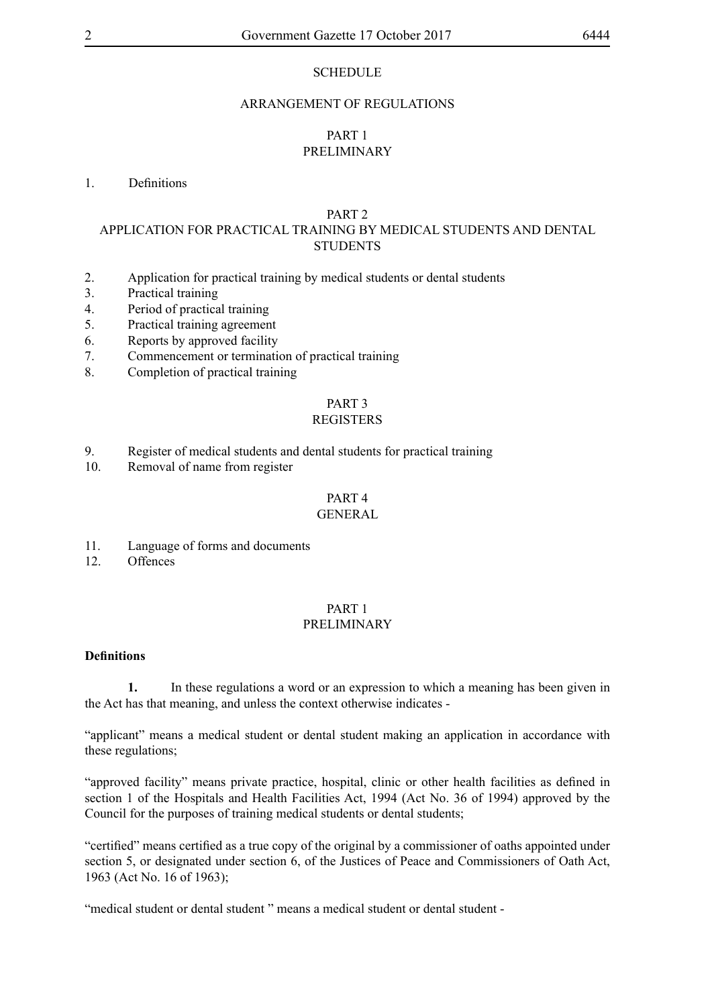#### **SCHEDULE**

#### ARRANGEMENT OF REGULATIONS

#### PART 1 PRELIMINARY

#### 1. Definitions

#### PART 2

#### APPLICATION FOR PRACTICAL TRAINING BY MEDICAL STUDENTS AND DENTAL STUDENTS

- 2. Application for practical training by medical students or dental students
- 3. Practical training
- 4. Period of practical training
- 5. Practical training agreement
- 6. Reports by approved facility
- 7. Commencement or termination of practical training
- 8. Completion of practical training

# PART 3

#### REGISTERS

- 9. Register of medical students and dental students for practical training
- 10. Removal of name from register

# PART 4

#### **GENERAL**

- 11. Language of forms and documents
- 12. Offences

#### PART 1 PRELIMINARY

#### **Definitions**

**1.** In these regulations a word or an expression to which a meaning has been given in the Act has that meaning, and unless the context otherwise indicates -

"applicant" means a medical student or dental student making an application in accordance with these regulations;

"approved facility" means private practice, hospital, clinic or other health facilities as defined in section 1 of the Hospitals and Health Facilities Act, 1994 (Act No. 36 of 1994) approved by the Council for the purposes of training medical students or dental students;

"certified" means certified as a true copy of the original by a commissioner of oaths appointed under section 5, or designated under section 6, of the Justices of Peace and Commissioners of Oath Act, 1963 (Act No. 16 of 1963);

"medical student or dental student" means a medical student or dental student -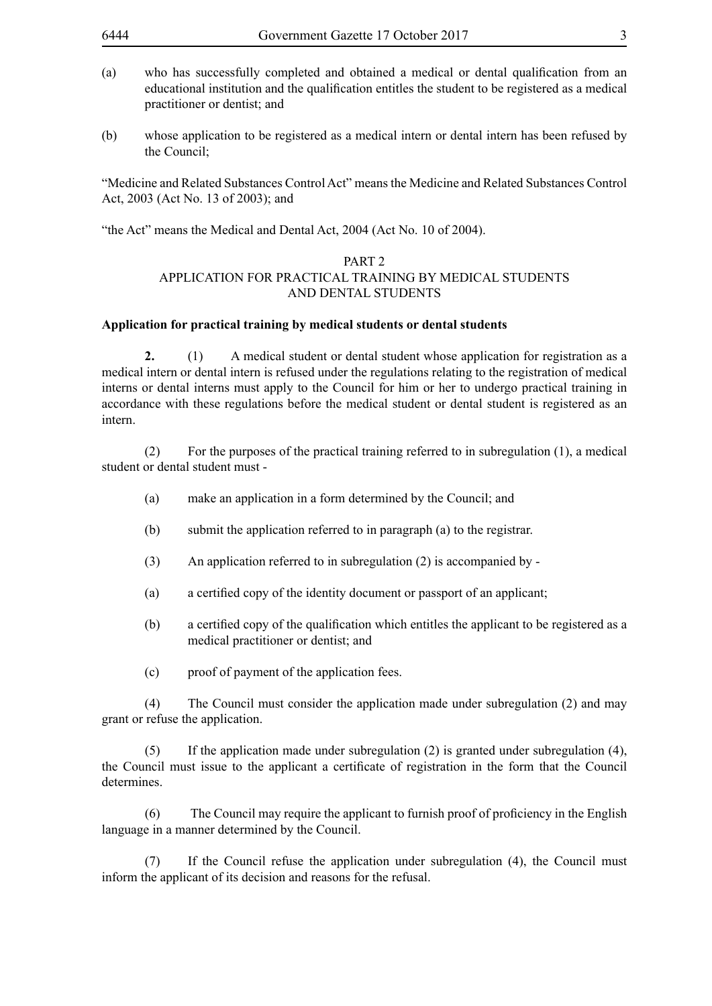- (a) who has successfully completed and obtained a medical or dental qualification from an educational institution and the qualification entitles the student to be registered as a medical practitioner or dentist; and
- (b) whose application to be registered as a medical intern or dental intern has been refused by the Council;

"Medicine and Related Substances Control Act" means the Medicine and Related Substances Control Act, 2003 (Act No. 13 of 2003); and

"the Act" means the Medical and Dental Act, 2004 (Act No. 10 of 2004).

#### PART 2

#### APPLICATION FOR PRACTICAL TRAINING BY MEDICAL STUDENTS AND DENTAL STUDENTS

#### **Application for practical training by medical students or dental students**

**2.** (1) A medical student or dental student whose application for registration as a medical intern or dental intern is refused under the regulations relating to the registration of medical interns or dental interns must apply to the Council for him or her to undergo practical training in accordance with these regulations before the medical student or dental student is registered as an intern.

(2) For the purposes of the practical training referred to in subregulation (1), a medical student or dental student must -

- (a) make an application in a form determined by the Council; and
- (b) submit the application referred to in paragraph (a) to the registrar.
- (3) An application referred to in subregulation (2) is accompanied by -
- (a) a certified copy of the identity document or passport of an applicant;
- (b) a certified copy of the qualification which entitles the applicant to be registered as a medical practitioner or dentist; and
- (c) proof of payment of the application fees.

(4) The Council must consider the application made under subregulation (2) and may grant or refuse the application.

(5) If the application made under subregulation (2) is granted under subregulation (4), the Council must issue to the applicant a certificate of registration in the form that the Council determines.

(6) The Council may require the applicant to furnish proof of proficiency in the English language in a manner determined by the Council.

(7) If the Council refuse the application under subregulation (4), the Council must inform the applicant of its decision and reasons for the refusal.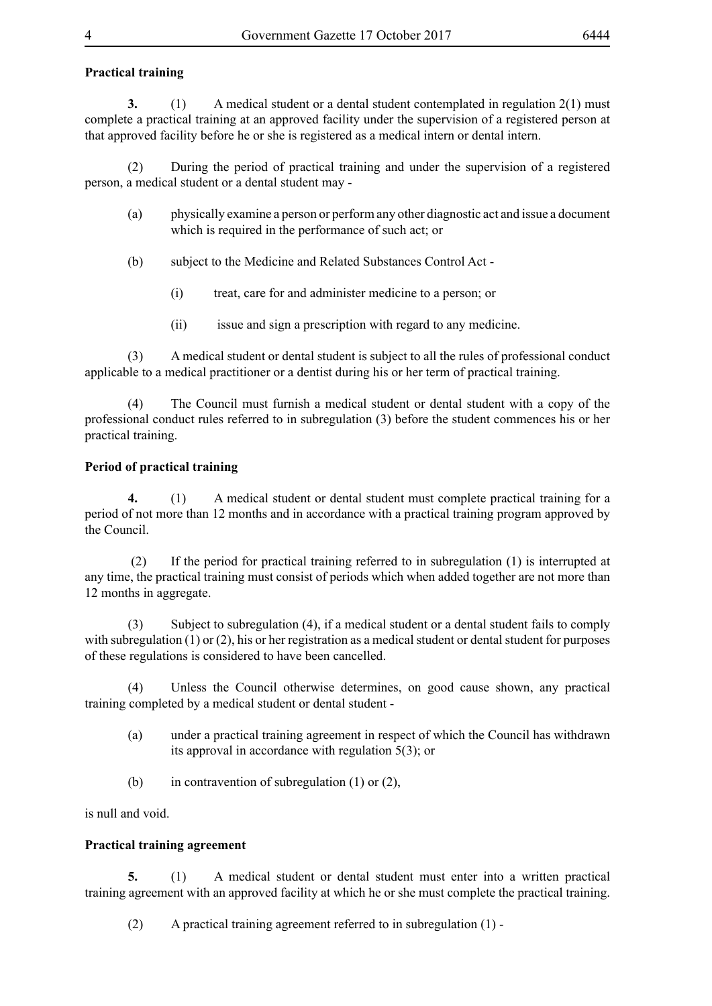### **Practical training**

**3.** (1) A medical student or a dental student contemplated in regulation 2(1) must complete a practical training at an approved facility under the supervision of a registered person at that approved facility before he or she is registered as a medical intern or dental intern.

(2) During the period of practical training and under the supervision of a registered person, a medical student or a dental student may -

- (a) physically examine a person or perform any other diagnostic act and issue a document which is required in the performance of such act; or
- (b) subject to the Medicine and Related Substances Control Act
	- (i) treat, care for and administer medicine to a person; or
	- (ii) issue and sign a prescription with regard to any medicine.

(3) A medical student or dental student is subject to all the rules of professional conduct applicable to a medical practitioner or a dentist during his or her term of practical training.

(4) The Council must furnish a medical student or dental student with a copy of the professional conduct rules referred to in subregulation (3) before the student commences his or her practical training.

#### **Period of practical training**

**4.** (1) A medical student or dental student must complete practical training for a period of not more than 12 months and in accordance with a practical training program approved by the Council.

 (2) If the period for practical training referred to in subregulation (1) is interrupted at any time, the practical training must consist of periods which when added together are not more than 12 months in aggregate.

(3) Subject to subregulation (4), if a medical student or a dental student fails to comply with subregulation (1) or (2), his or her registration as a medical student or dental student for purposes of these regulations is considered to have been cancelled.

(4) Unless the Council otherwise determines, on good cause shown, any practical training completed by a medical student or dental student -

- (a) under a practical training agreement in respect of which the Council has withdrawn its approval in accordance with regulation 5(3); or
- (b) in contravention of subregulation (1) or (2),

is null and void.

#### **Practical training agreement**

**5.** (1) A medical student or dental student must enter into a written practical training agreement with an approved facility at which he or she must complete the practical training.

(2) A practical training agreement referred to in subregulation (1) -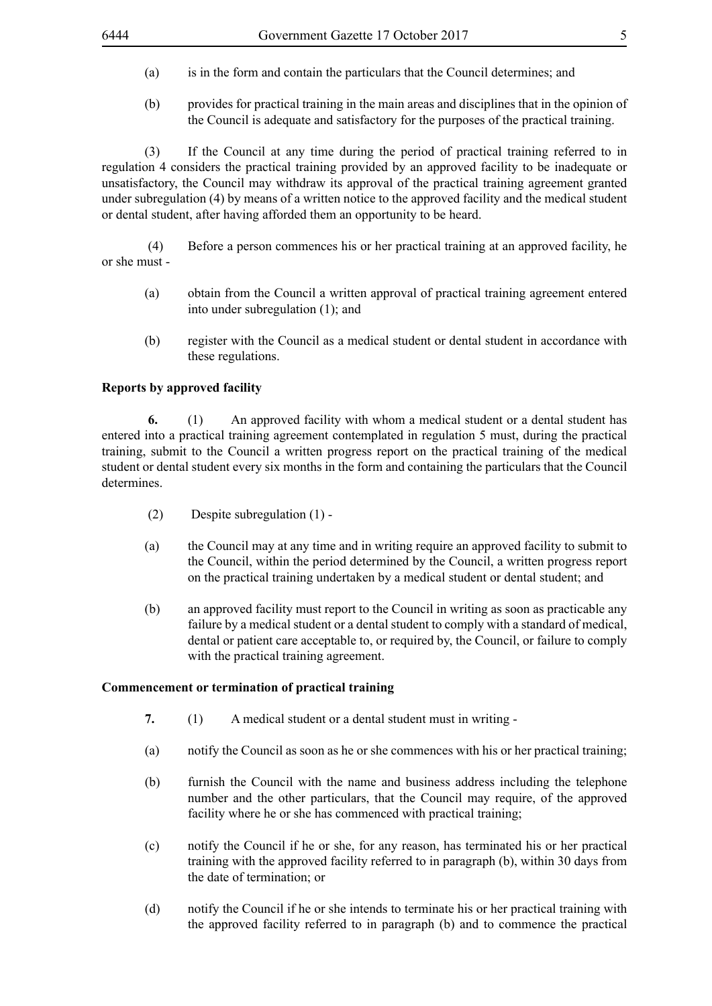- (a) is in the form and contain the particulars that the Council determines; and
- (b) provides for practical training in the main areas and disciplines that in the opinion of the Council is adequate and satisfactory for the purposes of the practical training.

(3) If the Council at any time during the period of practical training referred to in regulation 4 considers the practical training provided by an approved facility to be inadequate or unsatisfactory, the Council may withdraw its approval of the practical training agreement granted under subregulation (4) by means of a written notice to the approved facility and the medical student or dental student, after having afforded them an opportunity to be heard.

 (4) Before a person commences his or her practical training at an approved facility, he or she must -

- (a) obtain from the Council a written approval of practical training agreement entered into under subregulation (1); and
- (b) register with the Council as a medical student or dental student in accordance with these regulations.

#### **Reports by approved facility**

**6.** (1) An approved facility with whom a medical student or a dental student has entered into a practical training agreement contemplated in regulation 5 must, during the practical training, submit to the Council a written progress report on the practical training of the medical student or dental student every six months in the form and containing the particulars that the Council determines.

- (2) Despite subregulation (1) -
- (a) the Council may at any time and in writing require an approved facility to submit to the Council, within the period determined by the Council, a written progress report on the practical training undertaken by a medical student or dental student; and
- (b) an approved facility must report to the Council in writing as soon as practicable any failure by a medical student or a dental student to comply with a standard of medical, dental or patient care acceptable to, or required by, the Council, or failure to comply with the practical training agreement.

#### **Commencement or termination of practical training**

- **7.** (1) A medical student or a dental student must in writing -
- (a) notify the Council as soon as he or she commences with his or her practical training;
- (b) furnish the Council with the name and business address including the telephone number and the other particulars, that the Council may require, of the approved facility where he or she has commenced with practical training;
- (c) notify the Council if he or she, for any reason, has terminated his or her practical training with the approved facility referred to in paragraph (b), within 30 days from the date of termination; or
- (d) notify the Council if he or she intends to terminate his or her practical training with the approved facility referred to in paragraph (b) and to commence the practical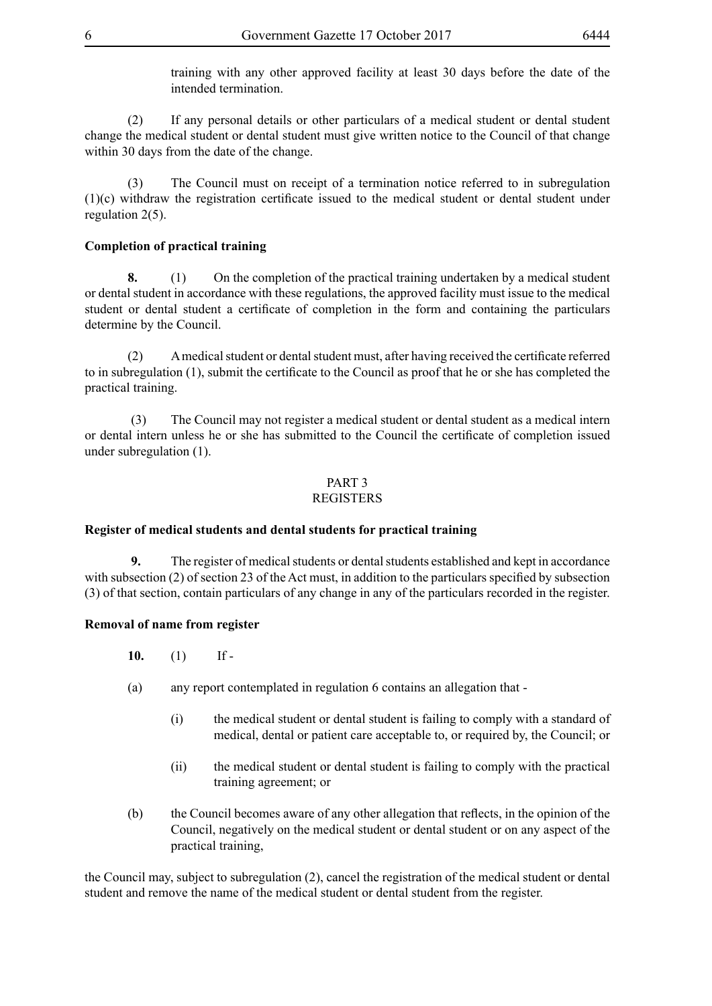training with any other approved facility at least 30 days before the date of the intended termination.

(2) If any personal details or other particulars of a medical student or dental student change the medical student or dental student must give written notice to the Council of that change within 30 days from the date of the change.

(3) The Council must on receipt of a termination notice referred to in subregulation (1)(c) withdraw the registration certificate issued to the medical student or dental student under regulation 2(5).

#### **Completion of practical training**

**8.** (1) On the completion of the practical training undertaken by a medical student or dental student in accordance with these regulations, the approved facility must issue to the medical student or dental student a certificate of completion in the form and containing the particulars determine by the Council.

(2) A medical student or dental student must, after having received the certificate referred to in subregulation (1), submit the certificate to the Council as proof that he or she has completed the practical training.

 (3) The Council may not register a medical student or dental student as a medical intern or dental intern unless he or she has submitted to the Council the certificate of completion issued under subregulation (1).

# PART 3

#### REGISTERS

#### **Register of medical students and dental students for practical training**

 **9.** The register of medical students or dental students established and kept in accordance with subsection (2) of section 23 of the Act must, in addition to the particulars specified by subsection (3) of that section, contain particulars of any change in any of the particulars recorded in the register.

#### **Removal of name from register**

- **10.** (1) If -
- (a) any report contemplated in regulation 6 contains an allegation that
	- (i) the medical student or dental student is failing to comply with a standard of medical, dental or patient care acceptable to, or required by, the Council; or
	- (ii) the medical student or dental student is failing to comply with the practical training agreement; or
- (b) the Council becomes aware of any other allegation that reflects, in the opinion of the Council, negatively on the medical student or dental student or on any aspect of the practical training,

the Council may, subject to subregulation (2), cancel the registration of the medical student or dental student and remove the name of the medical student or dental student from the register.